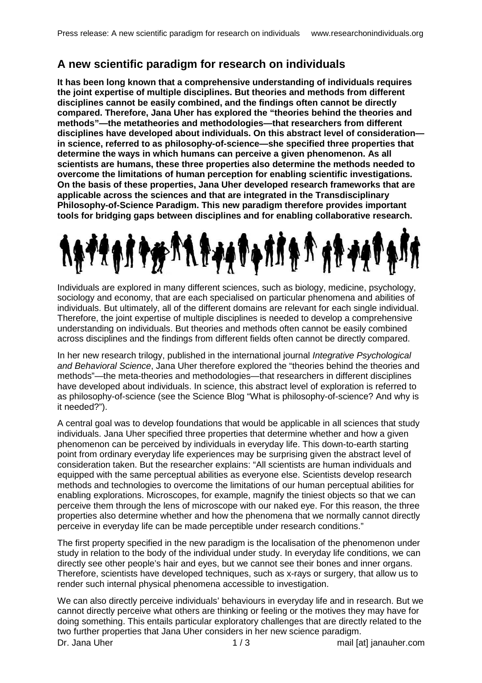## **A new scientific paradigm for research on individuals**

**It has been long known that a comprehensive understanding of individuals requires the joint expertise of multiple disciplines. But theories and methods from different disciplines cannot be easily combined, and the findings often cannot be directly compared. Therefore, Jana Uher has explored the "theories behind the theories and methods"—the metatheories and methodologies—that researchers from different disciplines have developed about individuals. On this abstract level of consideration in science, referred to as philosophy-of-science—she specified three properties that determine the ways in which humans can perceive a given phenomenon. As all scientists are humans, these three properties also determine the methods needed to overcome the limitations of human perception for enabling scientific investigations. On the basis of these properties, Jana Uher developed research frameworks that are applicable across the sciences and that are integrated in the Transdisciplinary Philosophy-of-Science Paradigm. This new paradigm therefore provides important tools for bridging gaps between disciplines and for enabling collaborative research.** 



Individuals are explored in many different sciences, such as biology, medicine, psychology, sociology and economy, that are each specialised on particular phenomena and abilities of individuals. But ultimately, all of the different domains are relevant for each single individual. Therefore, the joint expertise of multiple disciplines is needed to develop a comprehensive understanding on individuals. But theories and methods often cannot be easily combined across disciplines and the findings from different fields often cannot be directly compared.

In her new research trilogy, published in the international journal Integrative Psychological and Behavioral Science, Jana Uher therefore explored the "theories behind the theories and methods"—the meta-theories and methodologies—that researchers in different disciplines have developed about individuals. In science, this abstract level of exploration is referred to as philosophy-of-science (see the Science Blog "What is philosophy-of-science? And why is it needed?").

A central goal was to develop foundations that would be applicable in all sciences that study individuals. Jana Uher specified three properties that determine whether and how a given phenomenon can be perceived by individuals in everyday life. This down-to-earth starting point from ordinary everyday life experiences may be surprising given the abstract level of consideration taken. But the researcher explains: "All scientists are human individuals and equipped with the same perceptual abilities as everyone else. Scientists develop research methods and technologies to overcome the limitations of our human perceptual abilities for enabling explorations. Microscopes, for example, magnify the tiniest objects so that we can perceive them through the lens of microscope with our naked eye. For this reason, the three properties also determine whether and how the phenomena that we normally cannot directly perceive in everyday life can be made perceptible under research conditions."

The first property specified in the new paradigm is the localisation of the phenomenon under study in relation to the body of the individual under study. In everyday life conditions, we can directly see other people's hair and eyes, but we cannot see their bones and inner organs. Therefore, scientists have developed techniques, such as x-rays or surgery, that allow us to render such internal physical phenomena accessible to investigation.

Dr. Jana Uher mail [at] janauher.com mail [at] janauher.com We can also directly perceive individuals' behaviours in everyday life and in research. But we cannot directly perceive what others are thinking or feeling or the motives they may have for doing something. This entails particular exploratory challenges that are directly related to the two further properties that Jana Uher considers in her new science paradigm.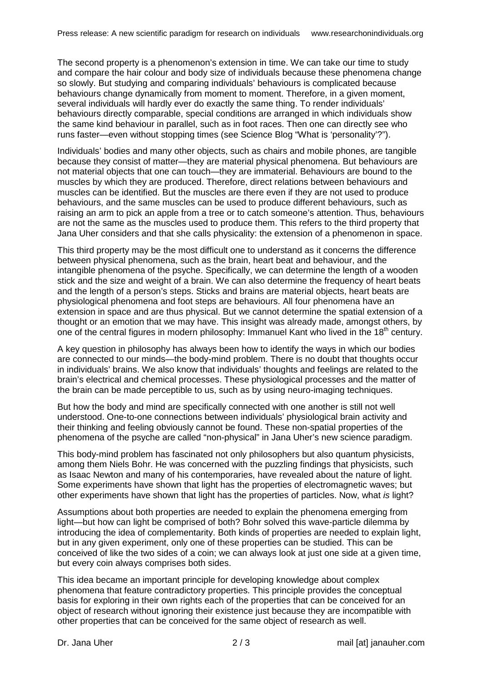The second property is a phenomenon's extension in time. We can take our time to study and compare the hair colour and body size of individuals because these phenomena change so slowly. But studying and comparing individuals' behaviours is complicated because behaviours change dynamically from moment to moment. Therefore, in a given moment, several individuals will hardly ever do exactly the same thing. To render individuals' behaviours directly comparable, special conditions are arranged in which individuals show the same kind behaviour in parallel, such as in foot races. Then one can directly see who runs faster—even without stopping times (see Science Blog "What is 'personality'?").

Individuals' bodies and many other objects, such as chairs and mobile phones, are tangible because they consist of matter—they are material physical phenomena. But behaviours are not material objects that one can touch—they are immaterial. Behaviours are bound to the muscles by which they are produced. Therefore, direct relations between behaviours and muscles can be identified. But the muscles are there even if they are not used to produce behaviours, and the same muscles can be used to produce different behaviours, such as raising an arm to pick an apple from a tree or to catch someone's attention. Thus, behaviours are not the same as the muscles used to produce them. This refers to the third property that Jana Uher considers and that she calls physicality: the extension of a phenomenon in space.

This third property may be the most difficult one to understand as it concerns the difference between physical phenomena, such as the brain, heart beat and behaviour, and the intangible phenomena of the psyche. Specifically, we can determine the length of a wooden stick and the size and weight of a brain. We can also determine the frequency of heart beats and the length of a person's steps. Sticks and brains are material objects, heart beats are physiological phenomena and foot steps are behaviours. All four phenomena have an extension in space and are thus physical. But we cannot determine the spatial extension of a thought or an emotion that we may have. This insight was already made, amongst others, by one of the central figures in modern philosophy: Immanuel Kant who lived in the 18<sup>th</sup> century.

A key question in philosophy has always been how to identify the ways in which our bodies are connected to our minds—the body-mind problem. There is no doubt that thoughts occur in individuals' brains. We also know that individuals' thoughts and feelings are related to the brain's electrical and chemical processes. These physiological processes and the matter of the brain can be made perceptible to us, such as by using neuro-imaging techniques.

But how the body and mind are specifically connected with one another is still not well understood. One-to-one connections between individuals' physiological brain activity and their thinking and feeling obviously cannot be found. These non-spatial properties of the phenomena of the psyche are called "non-physical" in Jana Uher's new science paradigm.

This body-mind problem has fascinated not only philosophers but also quantum physicists, among them Niels Bohr. He was concerned with the puzzling findings that physicists, such as Isaac Newton and many of his contemporaries, have revealed about the nature of light. Some experiments have shown that light has the properties of electromagnetic waves; but other experiments have shown that light has the properties of particles. Now, what is light?

Assumptions about both properties are needed to explain the phenomena emerging from light—but how can light be comprised of both? Bohr solved this wave-particle dilemma by introducing the idea of complementarity. Both kinds of properties are needed to explain light, but in any given experiment, only one of these properties can be studied. This can be conceived of like the two sides of a coin; we can always look at just one side at a given time, but every coin always comprises both sides.

This idea became an important principle for developing knowledge about complex phenomena that feature contradictory properties. This principle provides the conceptual basis for exploring in their own rights each of the properties that can be conceived for an object of research without ignoring their existence just because they are incompatible with other properties that can be conceived for the same object of research as well.